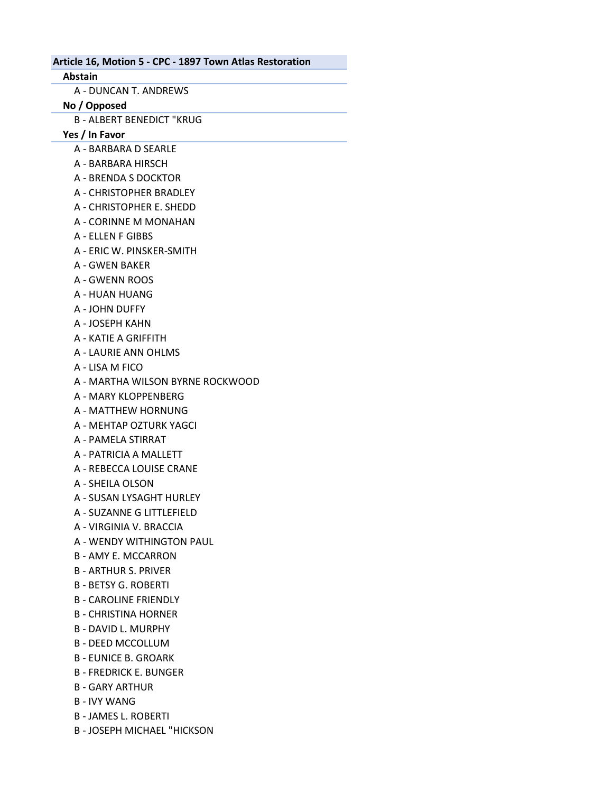Article 16, Motion 5 - CPC - 1897 Town Atlas Restoration Abstain A - DUNCAN T. ANDREWS No / Opposed B - ALBERT BENEDICT "KRUG Yes / In Favor A - BARBARA D SEARLE A - BARBARA HIRSCH A - BRENDA S DOCKTOR A - CHRISTOPHER BRADLEY A - CHRISTOPHER E. SHEDD A - CORINNE M MONAHAN A - ELLEN F GIBBS A - ERIC W. PINSKER-SMITH A - GWEN BAKER A - GWENN ROOS A - HUAN HUANG A - JOHN DUFFY A - JOSEPH KAHN A - KATIE A GRIFFITH A - LAURIE ANN OHLMS A - LISA M FICO A - MARTHA WILSON BYRNE ROCKWOOD A - MARY KLOPPENBERG A - MATTHEW HORNUNG A - MEHTAP OZTURK YAGCI

- A PAMELA STIRRAT
- A PATRICIA A MALLETT
- A REBECCA LOUISE CRANE
- A SHEILA OLSON
- A SUSAN LYSAGHT HURLEY
- A SUZANNE G LITTLEFIELD
- A VIRGINIA V. BRACCIA
- A WENDY WITHINGTON PAUL
- B AMY E. MCCARRON
- B ARTHUR S. PRIVER
- B BETSY G. ROBERTI
- B CAROLINE FRIENDLY
- B CHRISTINA HORNER
- B DAVID L. MURPHY
- B DEED MCCOLLUM
- B EUNICE B. GROARK
- B FREDRICK E. BUNGER
- B GARY ARTHUR
- B IVY WANG
- B JAMES L. ROBERTI
- B JOSEPH MICHAEL "HICKSON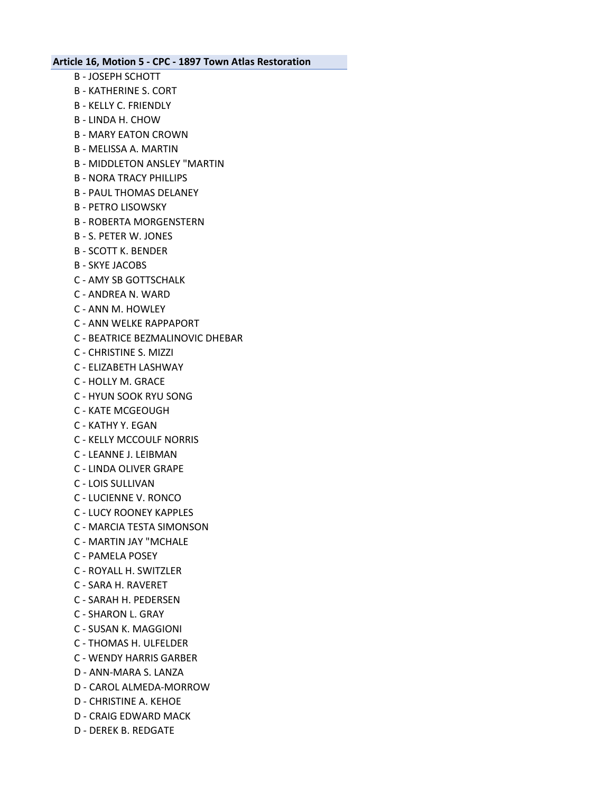- B JOSEPH SCHOTT
- B KATHERINE S. CORT
- B KELLY C. FRIENDLY
- B LINDA H. CHOW
- B MARY EATON CROWN
- B MELISSA A. MARTIN
- B MIDDLETON ANSLEY "MARTIN
- B NORA TRACY PHILLIPS
- B PAUL THOMAS DELANEY
- B PETRO LISOWSKY
- B ROBERTA MORGENSTERN
- B S. PETER W. JONES
- B SCOTT K. BENDER
- B SKYE JACOBS
- C AMY SB GOTTSCHALK
- C ANDREA N. WARD
- C ANN M. HOWLEY
- C ANN WELKE RAPPAPORT
- C BEATRICE BEZMALINOVIC DHEBAR
- C CHRISTINE S. MIZZI
- C ELIZABETH LASHWAY
- C HOLLY M. GRACE
- C HYUN SOOK RYU SONG
- C KATE MCGEOUGH
- C KATHY Y. EGAN
- C KELLY MCCOULF NORRIS
- C LEANNE J. LEIBMAN
- C LINDA OLIVER GRAPE
- C LOIS SULLIVAN
- C LUCIENNE V. RONCO
- C LUCY ROONEY KAPPLES
- C MARCIA TESTA SIMONSON
- C MARTIN JAY "MCHALE
- C PAMELA POSEY
- C ROYALL H. SWITZLER
- C SARA H. RAVERET
- C SARAH H. PEDERSEN
- C SHARON L. GRAY
- C SUSAN K. MAGGIONI
- C THOMAS H. ULFELDER
- C WENDY HARRIS GARBER
- D ANN-MARA S. LANZA
- D CAROL ALMEDA-MORROW
- D CHRISTINE A. KEHOE
- D CRAIG EDWARD MACK
- D DEREK B. REDGATE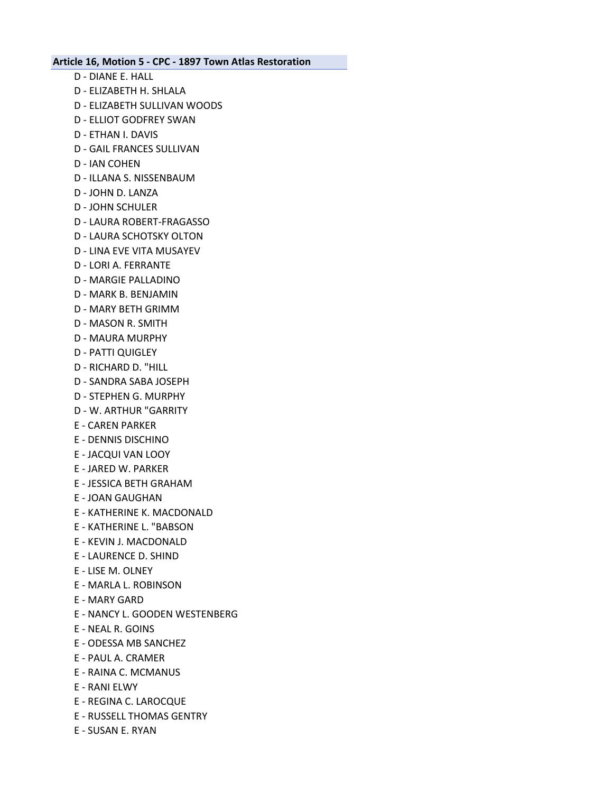- D DIANE E. HALL
- D ELIZABETH H. SHLALA
- D ELIZABETH SULLIVAN WOODS
- D ELLIOT GODFREY SWAN
- D ETHAN I. DAVIS
- D GAIL FRANCES SULLIVAN
- D IAN COHEN
- D ILLANA S. NISSENBAUM
- D JOHN D. LANZA
- D JOHN SCHULER
- D LAURA ROBERT-FRAGASSO
- D LAURA SCHOTSKY OLTON
- D LINA EVE VITA MUSAYEV
- D LORI A. FERRANTE
- D MARGIE PALLADINO
- D MARK B. BENJAMIN
- D MARY BETH GRIMM
- D MASON R. SMITH
- D MAURA MURPHY
- D PATTI QUIGLEY
- D RICHARD D. "HILL
- D SANDRA SABA JOSEPH
- D STEPHEN G. MURPHY
- D W. ARTHUR "GARRITY
- E CAREN PARKER
- E DENNIS DISCHINO
- E JACQUI VAN LOOY
- E JARED W. PARKER
- E JESSICA BETH GRAHAM
- E JOAN GAUGHAN
- E KATHERINE K. MACDONALD
- E KATHERINE L. "BABSON
- E KEVIN J. MACDONALD
- E LAURENCE D. SHIND
- E LISE M. OLNEY
- E MARLA L. ROBINSON
- E MARY GARD
- E NANCY L. GOODEN WESTENBERG
- E NEAL R. GOINS
- E ODESSA MB SANCHEZ
- E PAUL A. CRAMER
- E RAINA C. MCMANUS
- E RANI ELWY
- E REGINA C. LAROCQUE
- E RUSSELL THOMAS GENTRY
- E SUSAN E. RYAN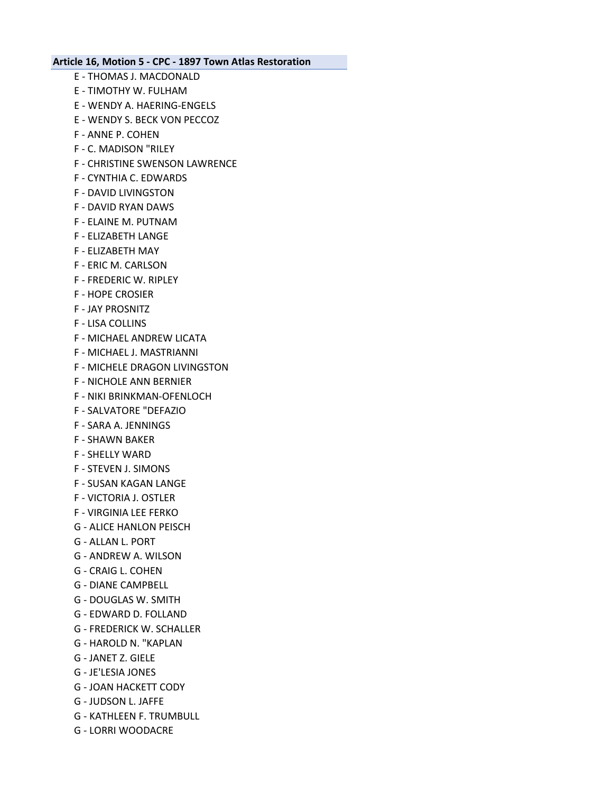- E THOMAS J. MACDONALD E - TIMOTHY W. FULHAM E - WENDY A. HAERING-ENGELS E - WENDY S. BECK VON PECCOZ F - ANNE P. COHEN F - C. MADISON "RILEY F - CHRISTINE SWENSON LAWRENCE F - CYNTHIA C. EDWARDS F - DAVID LIVINGSTON F - DAVID RYAN DAWS F - ELAINE M. PUTNAM F - ELIZABETH LANGE F - ELIZABETH MAY F - ERIC M. CARLSON F - FREDERIC W. RIPLEY F - HOPE CROSIER F - JAY PROSNITZ F - LISA COLLINS F - MICHAEL ANDREW LICATA F - MICHAEL J. MASTRIANNI F - MICHELE DRAGON LIVINGSTON F - NICHOLE ANN BERNIER F - NIKI BRINKMAN-OFENLOCH F - SALVATORE "DEFAZIO F - SARA A. JENNINGS F - SHAWN BAKER F - SHELLY WARD F - STEVEN J. SIMONS F - SUSAN KAGAN LANGE F - VICTORIA J. OSTLER F - VIRGINIA LEE FERKO G - ALICE HANLON PEISCH G - ALLAN L. PORT G - ANDREW A. WILSON G - CRAIG L. COHEN G - DIANE CAMPBELL G - DOUGLAS W. SMITH G - EDWARD D. FOLLAND G - FREDERICK W. SCHALLER G - HAROLD N. "KAPLAN
- G JANET Z. GIELE
- G JE'LESIA JONES
- G JOAN HACKETT CODY
- G JUDSON L. JAFFE
- G KATHLEEN F. TRUMBULL
- G LORRI WOODACRE